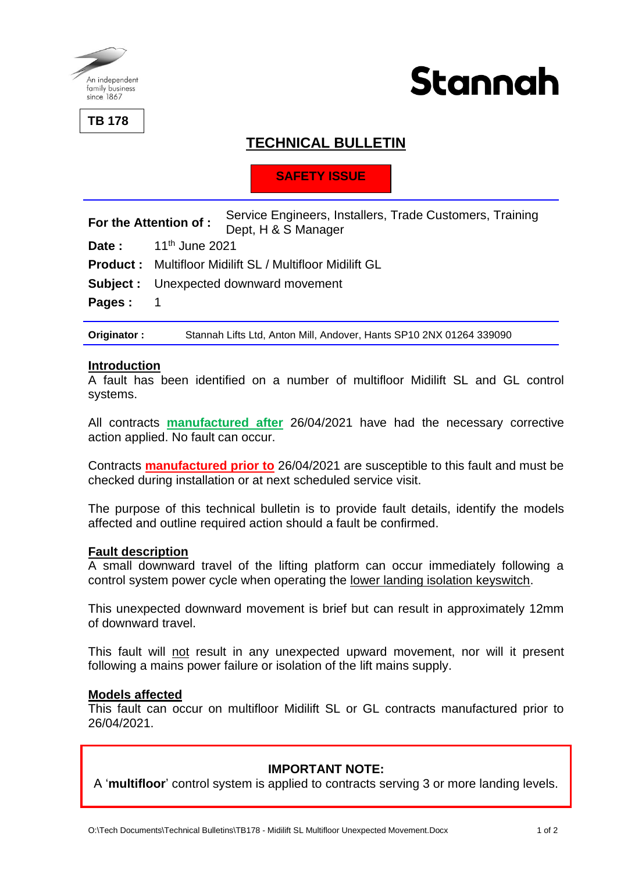

**TB 178**



# **TECHNICAL BULLETIN**

# **SAFETY ISSUE**

| <b>For the Attention of :</b> | Service Engineers, Installers, Trade Customers, Training |  |
|-------------------------------|----------------------------------------------------------|--|
|                               | Dept, H & S Manager                                      |  |

**Date :** 11th June 2021

**Product :** Multifloor Midilift SL / Multifloor Midilift GL

**Subject :** Unexpected downward movement

Pages: 1

**Originator :** Stannah Lifts Ltd, Anton Mill, Andover, Hants SP10 2NX 01264 339090

#### **Introduction**

A fault has been identified on a number of multifloor Midilift SL and GL control systems.

All contracts **manufactured after** 26/04/2021 have had the necessary corrective action applied. No fault can occur.

Contracts **manufactured prior to** 26/04/2021 are susceptible to this fault and must be checked during installation or at next scheduled service visit.

The purpose of this technical bulletin is to provide fault details, identify the models affected and outline required action should a fault be confirmed.

#### **Fault description**

A small downward travel of the lifting platform can occur immediately following a control system power cycle when operating the lower landing isolation keyswitch.

This unexpected downward movement is brief but can result in approximately 12mm of downward travel.

This fault will not result in any unexpected upward movement, nor will it present following a mains power failure or isolation of the lift mains supply.

#### **Models affected**

This fault can occur on multifloor Midilift SL or GL contracts manufactured prior to 26/04/2021.

### **IMPORTANT NOTE:**

A '**multifloor**' control system is applied to contracts serving 3 or more landing levels.